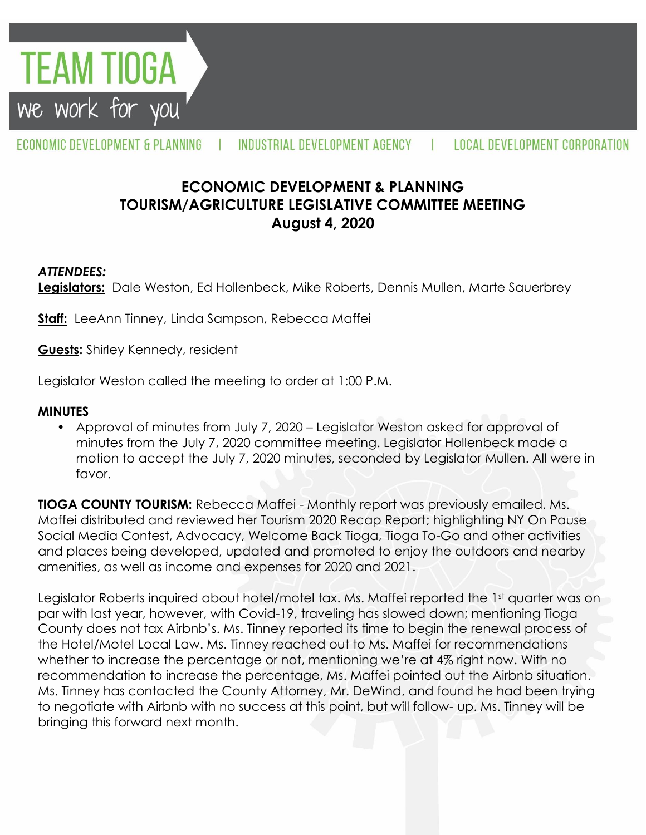**TEAM TIOGA** we work for you

#### ECONOMIC DEVELOPMENT & PLANNING INDUSTRIAL DEVELOPMENT AGENCY **LOCAL DEVELOPMENT CORPORATION**  $\mathbf{I}$

# **ECONOMIC DEVELOPMENT & PLANNING TOURISM/AGRICULTURE LEGISLATIVE COMMITTEE MEETING August 4, 2020**

### *ATTENDEES:*

**Legislators:** Dale Weston, Ed Hollenbeck, Mike Roberts, Dennis Mullen, Marte Sauerbrey

**Staff:** LeeAnn Tinney, Linda Sampson, Rebecca Maffei

**Guests:** Shirley Kennedy, resident

Legislator Weston called the meeting to order at 1:00 P.M.

#### **MINUTES**

• Approval of minutes from July 7, 2020 – Legislator Weston asked for approval of minutes from the July 7, 2020 committee meeting. Legislator Hollenbeck made a motion to accept the July 7, 2020 minutes, seconded by Legislator Mullen. All were in favor.

**TIOGA COUNTY TOURISM:** Rebecca Maffei - Monthly report was previously emailed. Ms. Maffei distributed and reviewed her Tourism 2020 Recap Report; highlighting NY On Pause Social Media Contest, Advocacy, Welcome Back Tioga, Tioga To-Go and other activities and places being developed, updated and promoted to enjoy the outdoors and nearby amenities, as well as income and expenses for 2020 and 2021.

Legislator Roberts inquired about hotel/motel tax. Ms. Maffei reported the 1st quarter was on par with last year, however, with Covid-19, traveling has slowed down; mentioning Tioga County does not tax Airbnb's. Ms. Tinney reported its time to begin the renewal process of the Hotel/Motel Local Law. Ms. Tinney reached out to Ms. Maffei for recommendations whether to increase the percentage or not, mentioning we're at 4% right now. With no recommendation to increase the percentage, Ms. Maffei pointed out the Airbnb situation. Ms. Tinney has contacted the County Attorney, Mr. DeWind, and found he had been trying to negotiate with Airbnb with no success at this point, but will follow- up. Ms. Tinney will be bringing this forward next month.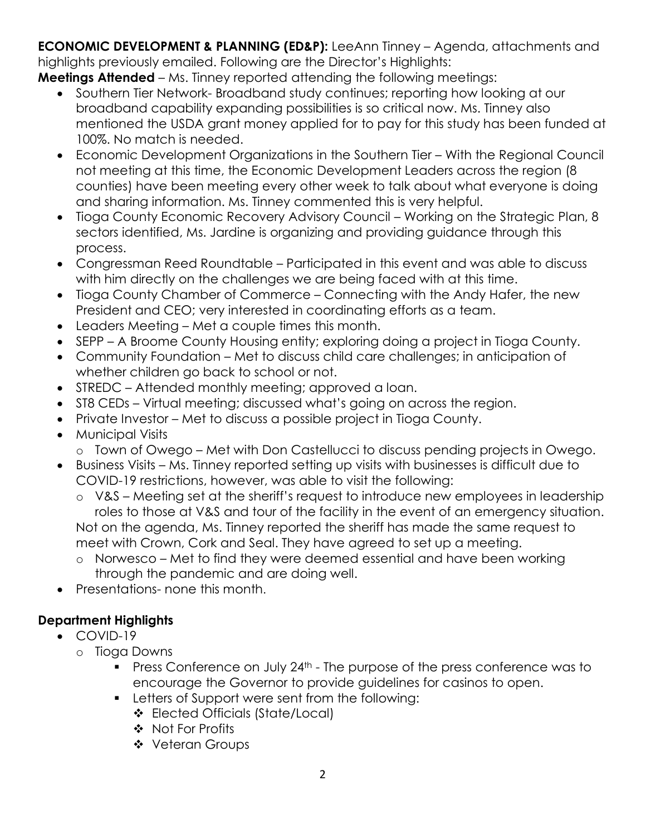**ECONOMIC DEVELOPMENT & PLANNING (ED&P):** LeeAnn Tinney – Agenda, attachments and highlights previously emailed. Following are the Director's Highlights:

**Meetings Attended** – Ms. Tinney reported attending the following meetings:

- Southern Tier Network-Broadband study continues; reporting how looking at our broadband capability expanding possibilities is so critical now. Ms. Tinney also mentioned the USDA grant money applied for to pay for this study has been funded at 100%. No match is needed.
- Economic Development Organizations in the Southern Tier With the Regional Council not meeting at this time, the Economic Development Leaders across the region (8 counties) have been meeting every other week to talk about what everyone is doing and sharing information. Ms. Tinney commented this is very helpful.
- Tioga County Economic Recovery Advisory Council Working on the Strategic Plan, 8 sectors identified, Ms. Jardine is organizing and providing guidance through this process.
- Congressman Reed Roundtable Participated in this event and was able to discuss with him directly on the challenges we are being faced with at this time.
- Tioga County Chamber of Commerce Connecting with the Andy Hafer, the new President and CEO; very interested in coordinating efforts as a team.
- Leaders Meeting Met a couple times this month.
- SEPP A Broome County Housing entity; exploring doing a project in Tioga County.
- Community Foundation Met to discuss child care challenges; in anticipation of whether children go back to school or not.
- STREDC Attended monthly meeting; approved a loan.
- ST8 CEDs Virtual meeting; discussed what's going on across the region.
- Private Investor Met to discuss a possible project in Tioga County.
- Municipal Visits
	- o Town of Owego Met with Don Castellucci to discuss pending projects in Owego.
- Business Visits Ms. Tinney reported setting up visits with businesses is difficult due to COVID-19 restrictions, however, was able to visit the following:
	- o V&S Meeting set at the sheriff's request to introduce new employees in leadership roles to those at V&S and tour of the facility in the event of an emergency situation. Not on the agenda, Ms. Tinney reported the sheriff has made the same request to meet with Crown, Cork and Seal. They have agreed to set up a meeting.
	- o Norwesco Met to find they were deemed essential and have been working through the pandemic and are doing well.
- Presentations- none this month.

## **Department Highlights**

- COVID-19
	- o Tioga Downs
		- **Press Conference on July 24<sup>th</sup> The purpose of the press conference was to** encourage the Governor to provide guidelines for casinos to open.
		- **EXECTER 1** Letters of Support were sent from the following:
			- Elected Officials (State/Local)
			- ❖ Not For Profits
			- Veteran Groups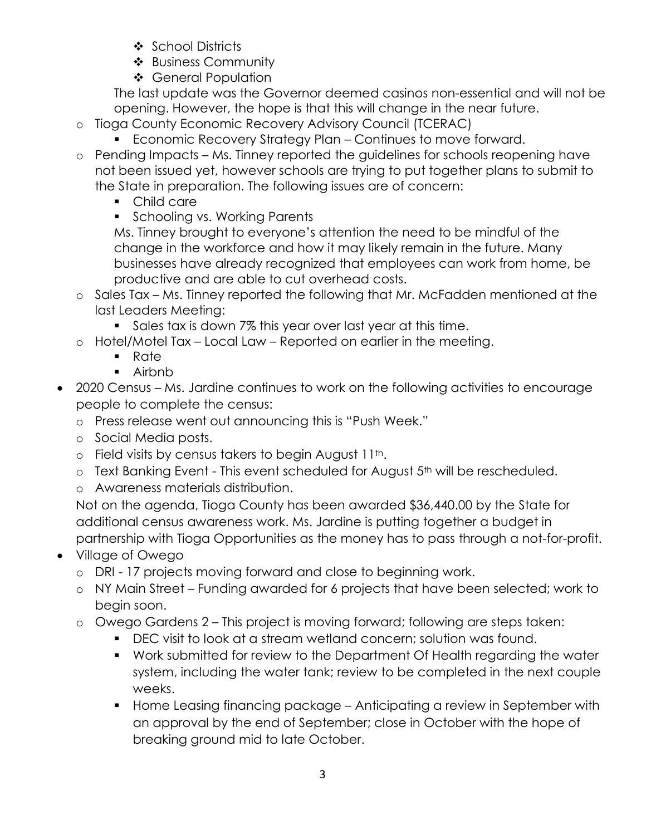- ❖ School Districts
- ❖ Business Community
- ❖ General Population

The last update was the Governor deemed casinos non-essential and will not be opening. However, the hope is that this will change in the near future.

- o Tioga County Economic Recovery Advisory Council (TCERAC)
	- **Economic Recovery Strategy Plan Continues to move forward.**
- o Pending Impacts Ms. Tinney reported the guidelines for schools reopening have not been issued yet, however schools are trying to put together plans to submit to the State in preparation. The following issues are of concern:
	- Child care
	- **Schooling vs. Working Parents**

Ms. Tinney brought to everyone's attention the need to be mindful of the change in the workforce and how it may likely remain in the future. Many businesses have already recognized that employees can work from home, be productive and are able to cut overhead costs.

- o Sales Tax Ms. Tinney reported the following that Mr. McFadden mentioned at the last Leaders Meeting:
	- Sales tax is down 7% this year over last year at this time.
- o Hotel/Motel Tax Local Law Reported on earlier in the meeting.
	- Rate
	- Airbnb
- 2020 Census Ms. Jardine continues to work on the following activities to encourage people to complete the census:
	- o Press release went out announcing this is "Push Week."
	- o Social Media posts.
	- $\circ$  Field visits by census takers to begin August 11<sup>th</sup>.
	- o Text Banking Event This event scheduled for August 5<sup>th</sup> will be rescheduled.
	- o Awareness materials distribution.

Not on the agenda, Tioga County has been awarded \$36,440.00 by the State for additional census awareness work. Ms. Jardine is putting together a budget in partnership with Tioga Opportunities as the money has to pass through a not-for-profit.

- Village of Owego
	- o DRI 17 projects moving forward and close to beginning work.
	- o NY Main Street Funding awarded for 6 projects that have been selected; work to begin soon.
	- o Owego Gardens 2 This project is moving forward; following are steps taken:
		- DEC visit to look at a stream wetland concern; solution was found.
		- Work submitted for review to the Department Of Health regarding the water system, including the water tank; review to be completed in the next couple weeks.
		- Home Leasing financing package Anticipating a review in September with an approval by the end of September; close in October with the hope of breaking ground mid to late October.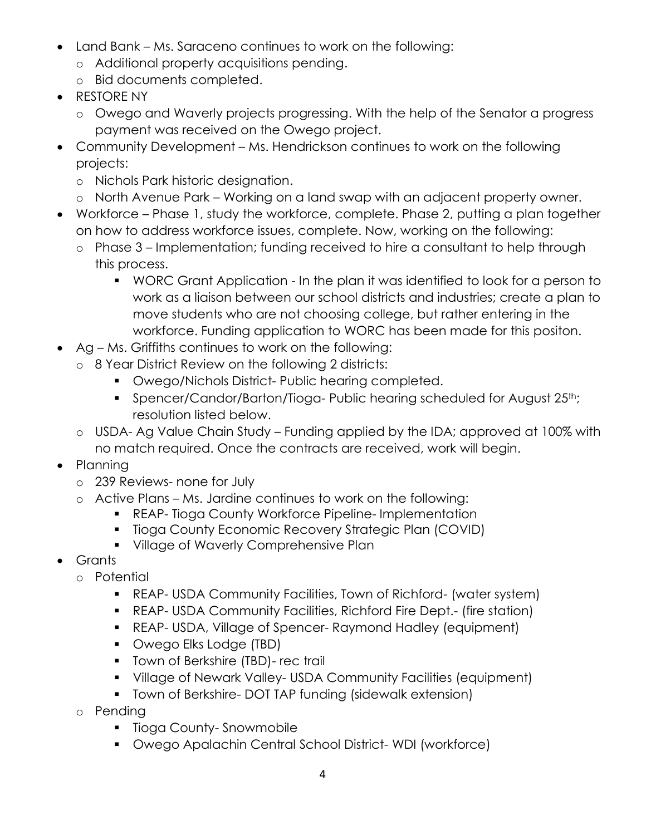- Land Bank Ms. Saraceno continues to work on the following:
	- o Additional property acquisitions pending.
	- o Bid documents completed.
- RESTORE NY
	- o Owego and Waverly projects progressing. With the help of the Senator a progress payment was received on the Owego project.
- Community Development Ms. Hendrickson continues to work on the following projects:
	- o Nichols Park historic designation.
	- o North Avenue Park Working on a land swap with an adjacent property owner.
- Workforce Phase 1, study the workforce, complete. Phase 2, putting a plan together on how to address workforce issues, complete. Now, working on the following:
	- o Phase 3 Implementation; funding received to hire a consultant to help through this process.
		- WORC Grant Application In the plan it was identified to look for a person to work as a liaison between our school districts and industries; create a plan to move students who are not choosing college, but rather entering in the workforce. Funding application to WORC has been made for this positon.
- Ag Ms. Griffiths continues to work on the following:
	- o 8 Year District Review on the following 2 districts:
		- **Owego/Nichols District- Public hearing completed.**
		- Spencer/Candor/Barton/Tioga- Public hearing scheduled for August 25<sup>th</sup>; resolution listed below.
		- o USDA- Ag Value Chain Study Funding applied by the IDA; approved at 100% with no match required. Once the contracts are received, work will begin.
- Planning
	- o 239 Reviews- none for July
	- o Active Plans Ms. Jardine continues to work on the following:
		- **REAP- Tioga County Workforce Pipeline- Implementation**
		- **Tioga County Economic Recovery Strategic Plan (COVID)**
		- **Village of Waverly Comprehensive Plan**
- Grants
	- o Potential
		- REAP- USDA Community Facilities, Town of Richford- (water system)
		- REAP- USDA Community Facilities, Richford Fire Dept.- (fire station)
		- REAP- USDA, Village of Spencer- Raymond Hadley (equipment)
		- **Owego Elks Lodge (TBD)**
		- **Town of Berkshire (TBD)- rec trail**
		- Village of Newark Valley- USDA Community Facilities (equipment)
		- **T** Town of Berkshire- DOT TAP funding (sidewalk extension)
	- o Pending
		- **Tioga County-Snowmobile**
		- Owego Apalachin Central School District- WDI (workforce)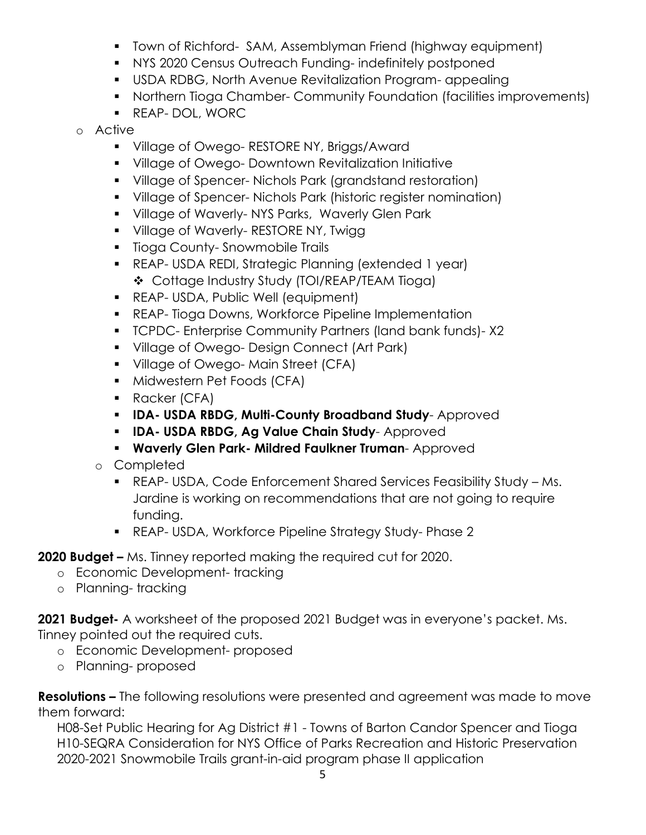- **Town of Richford- SAM, Assemblyman Friend (highway equipment)**
- NYS 2020 Census Outreach Funding- indefinitely postponed
- USDA RDBG, North Avenue Revitalization Program- appealing
- Northern Tioga Chamber- Community Foundation (facilities improvements)
- REAP- DOL, WORC
- o Active
	- **Village of Owego- RESTORE NY, Briggs/Award**
	- Village of Owego- Downtown Revitalization Initiative
	- Village of Spencer- Nichols Park (grandstand restoration)
	- Village of Spencer- Nichols Park (historic register nomination)
	- **Village of Waverly-NYS Parks, Waverly Glen Park**
	- **Village of Waverly- RESTORE NY, Twigg 1**
	- **Tioga County-Snowmobile Trails**
	- REAP- USDA REDI, Strategic Planning (extended 1 year) Cottage Industry Study (TOI/REAP/TEAM Tioga)
	- **REAP- USDA, Public Well (equipment)**
	- **REAP- Tioga Downs, Workforce Pipeline Implementation**
	- **TCPDC- Enterprise Community Partners (land bank funds)-X2**
	- **Village of Owego- Design Connect (Art Park)**
	- **Village of Owego-Main Street (CFA)**
	- **Midwestern Pet Foods (CFA)**
	- Racker (CFA)
	- **IDA- USDA RBDG, Multi-County Broadband Study** Approved
	- **IDA- USDA RBDG, Ag Value Chain Study** Approved
	- **Waverly Glen Park- Mildred Faulkner Truman** Approved
	- o Completed
		- REAP- USDA, Code Enforcement Shared Services Feasibility Study Ms. Jardine is working on recommendations that are not going to require funding.
		- REAP- USDA, Workforce Pipeline Strategy Study- Phase 2

**2020 Budget –** Ms. Tinney reported making the required cut for 2020.

- o Economic Development- tracking
- o Planning- tracking

**2021 Budget-** A worksheet of the proposed 2021 Budget was in everyone's packet. Ms. Tinney pointed out the required cuts.

- o Economic Development- proposed
- o Planning- proposed

**Resolutions –** The following resolutions were presented and agreement was made to move them forward:

H08-Set Public Hearing for Ag District #1 - Towns of Barton Candor Spencer and Tioga H10-SEQRA Consideration for NYS Office of Parks Recreation and Historic Preservation 2020-2021 Snowmobile Trails grant-in-aid program phase II application